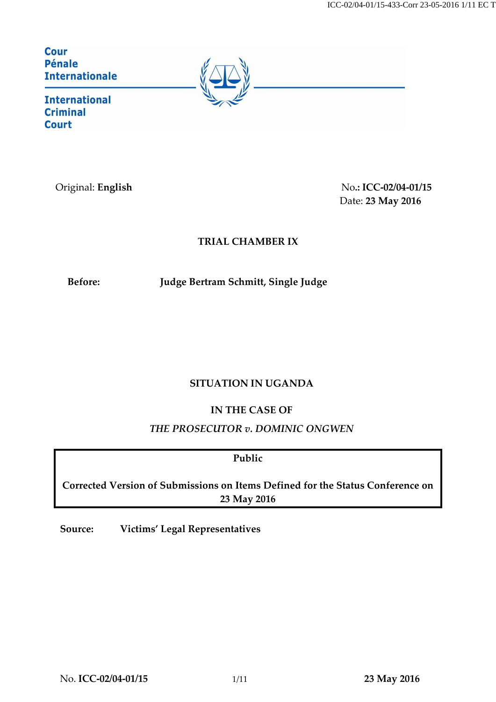| Cour<br><b>Pénale</b><br><b>Internationale</b>     |  |
|----------------------------------------------------|--|
| <b>International</b><br><b>Criminal</b><br>$C$ $C$ |  |

Original: **English** No**.: ICC-02/04-01/15** Date: **23 May 2016**

# **TRIAL CHAMBER IX**

**Before: Judge Bertram Schmitt, Single Judge**

# **SITUATION IN UGANDA**

# **IN THE CASE OF**

# *THE PROSECUTOR v. DOMINIC ONGWEN*

**Public**

**Corrected Version of Submissions on Items Defined for the Status Conference on 23 May 2016**

**Source: Victims' Legal Representatives**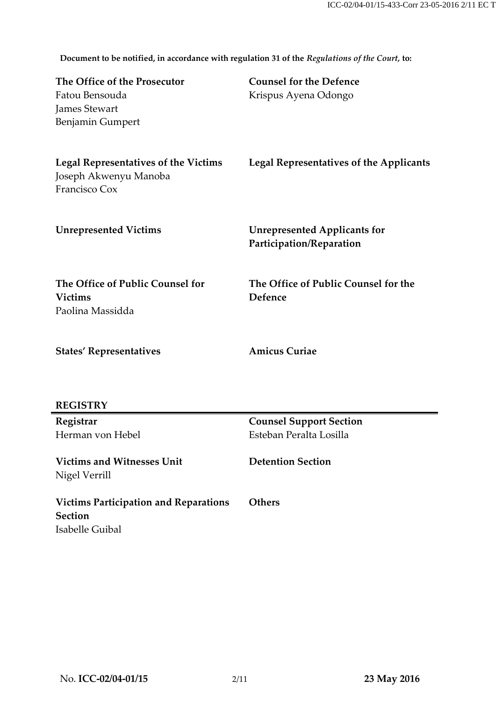**Document to be notified, in accordance with regulation 31 of the** *Regulations of the Court,* **to:**

| The Office of the Prosecutor<br>Fatou Bensouda<br><b>James Stewart</b><br><b>Benjamin Gumpert</b> | <b>Counsel for the Defence</b><br>Krispus Ayena Odongo          |
|---------------------------------------------------------------------------------------------------|-----------------------------------------------------------------|
| <b>Legal Representatives of the Victims</b><br>Joseph Akwenyu Manoba<br>Francisco Cox             | <b>Legal Representatives of the Applicants</b>                  |
| <b>Unrepresented Victims</b>                                                                      | <b>Unrepresented Applicants for</b><br>Participation/Reparation |
| The Office of Public Counsel for<br><b>Victims</b><br>Paolina Massidda                            | The Office of Public Counsel for the<br>Defence                 |
| <b>States' Representatives</b>                                                                    | <b>Amicus Curiae</b>                                            |
| <b>REGISTRY</b>                                                                                   |                                                                 |
| Registrar                                                                                         | <b>Counsel Support Section</b>                                  |
| Herman von Hebel                                                                                  | Esteban Peralta Losilla                                         |
| <b>Victims and Witnesses Unit</b><br>Nigel Verrill                                                | <b>Detention Section</b>                                        |
| <b>Victims Participation and Reparations</b><br><b>Section</b><br>Isabelle Guibal                 | <b>Others</b>                                                   |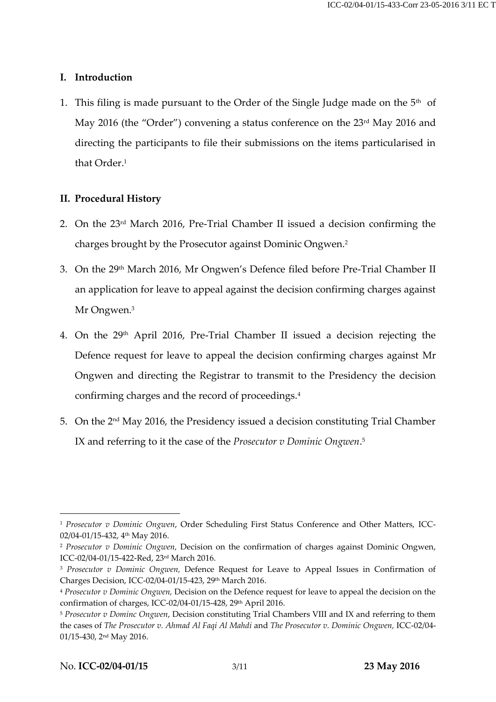## **I. Introduction**

1. This filing is made pursuant to the Order of the Single Judge made on the  $5<sup>th</sup>$  of May 2016 (the "Order") convening a status conference on the 23<sup>rd</sup> May 2016 and directing the participants to file their submissions on the items particularised in that Order. 1

# **II. Procedural History**

- 2. On the 23rd March 2016, Pre-Trial Chamber II issued a decision confirming the charges brought by the Prosecutor against Dominic Ongwen. 2
- 3. On the 29th March 2016, Mr Ongwen's Defence filed before Pre-Trial Chamber II an application for leave to appeal against the decision confirming charges against Mr Ongwen.<sup>3</sup>
- 4. On the 29th April 2016, Pre-Trial Chamber II issued a decision rejecting the Defence request for leave to appeal the decision confirming charges against Mr Ongwen and directing the Registrar to transmit to the Presidency the decision confirming charges and the record of proceedings.<sup>4</sup>
- 5. On the 2<sup>nd</sup> May 2016, the Presidency issued a decision constituting Trial Chamber IX and referring to it the case of the *Prosecutor v Dominic Ongwen*. 5

1

<sup>1</sup> *Prosecutor v Dominic Ongwen*, Order Scheduling First Status Conference and Other Matters, ICC-02/04-01/15-432, 4<sup>th</sup> May 2016.

<sup>2</sup> *Prosecutor v Dominic Ongwen,* Decision on the confirmation of charges against Dominic Ongwen, ICC-02/04-01/15-422-Red, 23rd March 2016.

<sup>3</sup> *Prosecutor v Dominic Ongwen,* Defence Request for Leave to Appeal Issues in Confirmation of Charges Decision, ICC-02/04-01/15-423, 29th March 2016.

<sup>4</sup> *Prosecutor v Dominic Ongwen,* Decision on the Defence request for leave to appeal the decision on the confirmation of charges, ICC-02/04-01/15-428, 29th April 2016.

<sup>5</sup> *Prosecutor v Dominc Ongwen*, Decision constituting Trial Chambers VIII and IX and referring to them the cases of *The Prosecutor v. Ahmad Al Faqi Al Mahdi* and *The Prosecutor v. Dominic Ongwen,* ICC-02/04- 01/15-430, 2nd May 2016.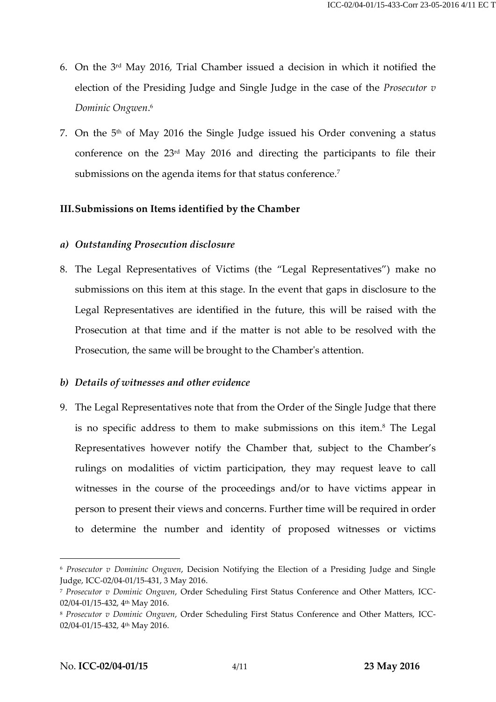- 6. On the 3rd May 2016, Trial Chamber issued a decision in which it notified the election of the Presiding Judge and Single Judge in the case of the *Prosecutor v Dominic Ongwen*. 6
- 7. On the  $5<sup>th</sup>$  of May 2016 the Single Judge issued his Order convening a status conference on the 23rd May 2016 and directing the participants to file their submissions on the agenda items for that status conference. 7

# **III.Submissions on Items identified by the Chamber**

# *a) Outstanding Prosecution disclosure*

8. The Legal Representatives of Victims (the "Legal Representatives") make no submissions on this item at this stage. In the event that gaps in disclosure to the Legal Representatives are identified in the future, this will be raised with the Prosecution at that time and if the matter is not able to be resolved with the Prosecution, the same will be brought to the Chamber's attention.

## *b) Details of witnesses and other evidence*

9. The Legal Representatives note that from the Order of the Single Judge that there is no specific address to them to make submissions on this item. <sup>8</sup> The Legal Representatives however notify the Chamber that, subject to the Chamber's rulings on modalities of victim participation, they may request leave to call witnesses in the course of the proceedings and/or to have victims appear in person to present their views and concerns. Further time will be required in order to determine the number and identity of proposed witnesses or victims

 $\overline{a}$ 

<sup>6</sup> *Prosecutor v Domininc Ongwen*, Decision Notifying the Election of a Presiding Judge and Single Judge, ICC-02/04-01/15-431, 3 May 2016.

<sup>7</sup> *Prosecutor v Dominic Ongwen*, Order Scheduling First Status Conference and Other Matters, ICC-02/04-01/15-432, 4<sup>th</sup> May 2016.

<sup>8</sup> *Prosecutor v Dominic Ongwen*, Order Scheduling First Status Conference and Other Matters, ICC-02/04-01/15-432, 4th May 2016.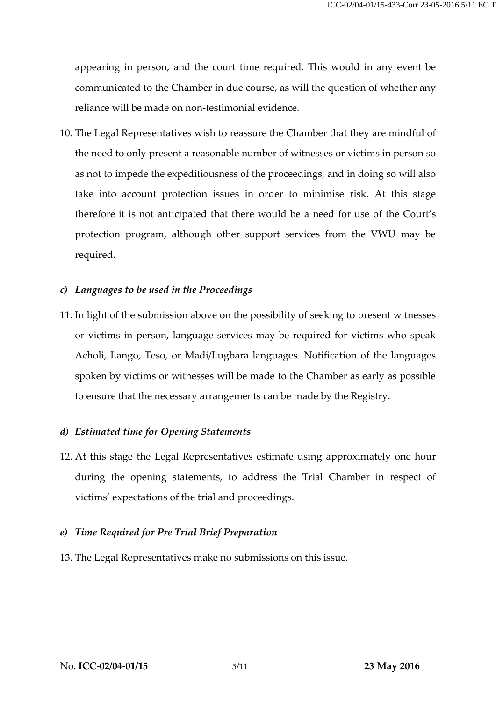appearing in person, and the court time required. This would in any event be communicated to the Chamber in due course, as will the question of whether any reliance will be made on non-testimonial evidence.

10. The Legal Representatives wish to reassure the Chamber that they are mindful of the need to only present a reasonable number of witnesses or victims in person so as not to impede the expeditiousness of the proceedings, and in doing so will also take into account protection issues in order to minimise risk. At this stage therefore it is not anticipated that there would be a need for use of the Court's protection program, although other support services from the VWU may be required.

### *c) Languages to be used in the Proceedings*

11. In light of the submission above on the possibility of seeking to present witnesses or victims in person, language services may be required for victims who speak Acholi, Lango, Teso, or Madi/Lugbara languages. Notification of the languages spoken by victims or witnesses will be made to the Chamber as early as possible to ensure that the necessary arrangements can be made by the Registry.

#### *d) Estimated time for Opening Statements*

12. At this stage the Legal Representatives estimate using approximately one hour during the opening statements, to address the Trial Chamber in respect of victims' expectations of the trial and proceedings.

## *e) Time Required for Pre Trial Brief Preparation*

13. The Legal Representatives make no submissions on this issue.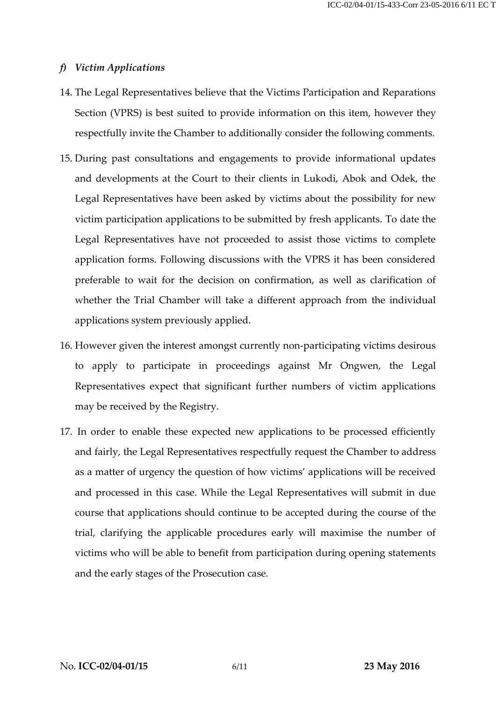### *f) Victim Applications*

- 14. The Legal Representatives believe that the Victims Participation and Reparations Section (VPRS) is best suited to provide information on this item, however they respectfully invite the Chamber to additionally consider the following comments.
- 15. During past consultations and engagements to provide informational updates and developments at the Court to their clients in Lukodi, Abok and Odek, the Legal Representatives have been asked by victims about the possibility for new victim participation applications to be submitted by fresh applicants. To date the Legal Representatives have not proceeded to assist those victims to complete application forms. Following discussions with the VPRS it has been considered preferable to wait for the decision on confirmation, as well as clarification of whether the Trial Chamber will take a different approach from the individual applications system previously applied.
- 16. However given the interest amongst currently non-participating victims desirous to apply to participate in proceedings against Mr Ongwen, the Legal Representatives expect that significant further numbers of victim applications may be received by the Registry.
- 17. In order to enable these expected new applications to be processed efficiently and fairly, the Legal Representatives respectfully request the Chamber to address as a matter of urgency the question of how victims' applications will be received and processed in this case. While the Legal Representatives will submit in due course that applications should continue to be accepted during the course of the trial, clarifying the applicable procedures early will maximise the number of victims who will be able to benefit from participation during opening statements and the early stages of the Prosecution case.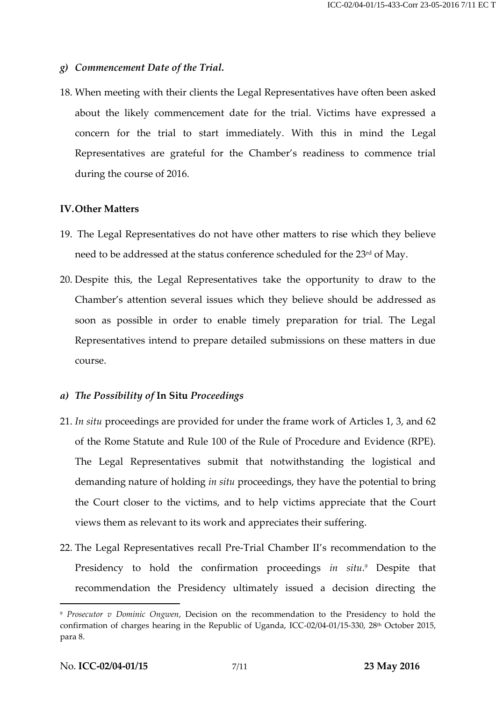## *g) Commencement Date of the Trial.*

18. When meeting with their clients the Legal Representatives have often been asked about the likely commencement date for the trial. Victims have expressed a concern for the trial to start immediately. With this in mind the Legal Representatives are grateful for the Chamber's readiness to commence trial during the course of 2016.

### **IV.Other Matters**

- 19. The Legal Representatives do not have other matters to rise which they believe need to be addressed at the status conference scheduled for the 23<sup>rd</sup> of May.
- 20. Despite this, the Legal Representatives take the opportunity to draw to the Chamber's attention several issues which they believe should be addressed as soon as possible in order to enable timely preparation for trial. The Legal Representatives intend to prepare detailed submissions on these matters in due course.

#### *a) The Possibility of* **In Situ** *Proceedings*

- 21. *In situ* proceedings are provided for under the frame work of Articles 1, 3, and 62 of the Rome Statute and Rule 100 of the Rule of Procedure and Evidence (RPE). The Legal Representatives submit that notwithstanding the logistical and demanding nature of holding *in situ* proceedings, they have the potential to bring the Court closer to the victims, and to help victims appreciate that the Court views them as relevant to its work and appreciates their suffering.
- 22. The Legal Representatives recall Pre-Trial Chamber II's recommendation to the Presidency to hold the confirmation proceedings *in situ*. *<sup>9</sup>* Despite that recommendation the Presidency ultimately issued a decision directing the

 $\overline{a}$ 

<sup>9</sup> *Prosecutor v Dominic Ongwen*, Decision on the recommendation to the Presidency to hold the confirmation of charges hearing in the Republic of Uganda, ICC-02/04-01/15-330, 28th October 2015, para 8.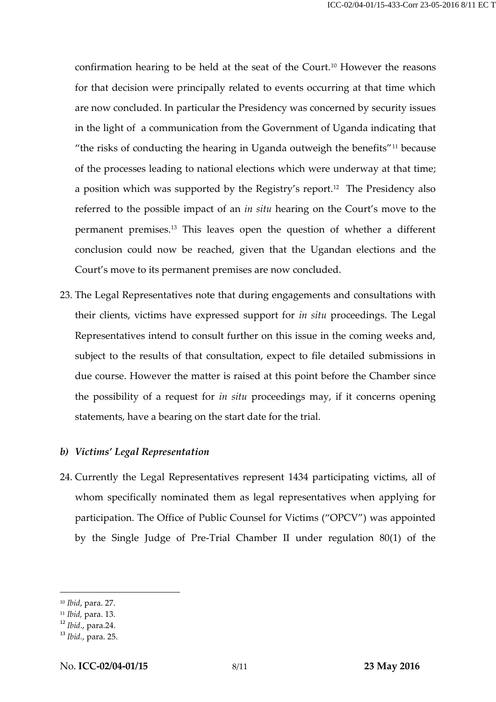confirmation hearing to be held at the seat of the Court.<sup>10</sup> However the reasons for that decision were principally related to events occurring at that time which are now concluded. In particular the Presidency was concerned by security issues in the light of a communication from the Government of Uganda indicating that "the risks of conducting the hearing in Uganda outweigh the benefits"<sup>11</sup> because of the processes leading to national elections which were underway at that time; a position which was supported by the Registry's report.<sup>12</sup> The Presidency also referred to the possible impact of an *in situ* hearing on the Court's move to the permanent premises.<sup>13</sup> This leaves open the question of whether a different conclusion could now be reached, given that the Ugandan elections and the Court's move to its permanent premises are now concluded.

23. The Legal Representatives note that during engagements and consultations with their clients, victims have expressed support for *in situ* proceedings. The Legal Representatives intend to consult further on this issue in the coming weeks and, subject to the results of that consultation, expect to file detailed submissions in due course. However the matter is raised at this point before the Chamber since the possibility of a request for *in situ* proceedings may, if it concerns opening statements, have a bearing on the start date for the trial.

# *b) Victims' Legal Representation*

24. Currently the Legal Representatives represent 1434 participating victims, all of whom specifically nominated them as legal representatives when applying for participation. The Office of Public Counsel for Victims ("OPCV") was appointed by the Single Judge of Pre-Trial Chamber II under regulation 80(1) of the

1

<sup>10</sup> *Ibid*, para. 27.

<sup>11</sup> *Ibid,* para. 13.

<sup>12</sup> *Ibid*., para.24.

<sup>13</sup> *Ibid.*, para. 25.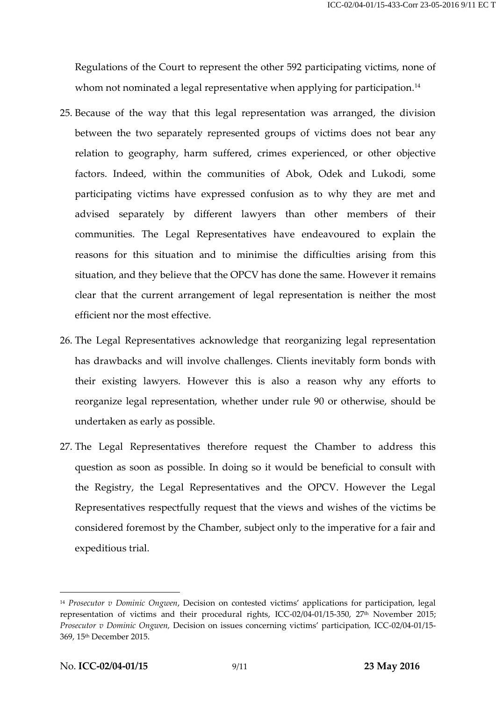Regulations of the Court to represent the other 592 participating victims, none of whom not nominated a legal representative when applying for participation.<sup>14</sup>

- 25. Because of the way that this legal representation was arranged, the division between the two separately represented groups of victims does not bear any relation to geography, harm suffered, crimes experienced, or other objective factors. Indeed, within the communities of Abok, Odek and Lukodi, some participating victims have expressed confusion as to why they are met and advised separately by different lawyers than other members of their communities. The Legal Representatives have endeavoured to explain the reasons for this situation and to minimise the difficulties arising from this situation, and they believe that the OPCV has done the same. However it remains clear that the current arrangement of legal representation is neither the most efficient nor the most effective.
- 26. The Legal Representatives acknowledge that reorganizing legal representation has drawbacks and will involve challenges. Clients inevitably form bonds with their existing lawyers. However this is also a reason why any efforts to reorganize legal representation, whether under rule 90 or otherwise, should be undertaken as early as possible.
- 27. The Legal Representatives therefore request the Chamber to address this question as soon as possible. In doing so it would be beneficial to consult with the Registry, the Legal Representatives and the OPCV. However the Legal Representatives respectfully request that the views and wishes of the victims be considered foremost by the Chamber, subject only to the imperative for a fair and expeditious trial.

1

<sup>14</sup> *Prosecutor v Dominic Ongwen*, Decision on contested victims' applications for participation, legal representation of victims and their procedural rights, ICC-02/04-01/15-350, 27th November 2015; *Prosecutor v Dominic Ongwen,* Decision on issues concerning victims' participation*,* ICC-02/04-01/15- 369, 15th December 2015.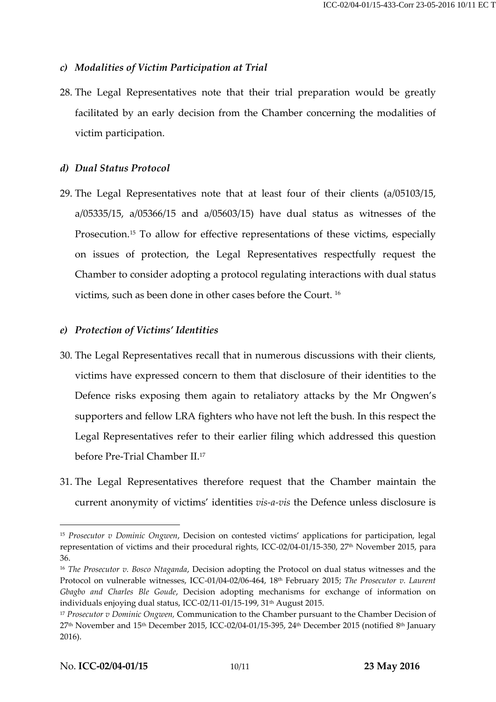# *c) Modalities of Victim Participation at Trial*

28. The Legal Representatives note that their trial preparation would be greatly facilitated by an early decision from the Chamber concerning the modalities of victim participation.

## *d) Dual Status Protocol*

29. The Legal Representatives note that at least four of their clients (a/05103/15, a/05335/15, a/05366/15 and a/05603/15) have dual status as witnesses of the Prosecution.<sup>15</sup> To allow for effective representations of these victims, especially on issues of protection, the Legal Representatives respectfully request the Chamber to consider adopting a protocol regulating interactions with dual status victims, such as been done in other cases before the Court. <sup>16</sup>

## *e) Protection of Victims' Identities*

- 30. The Legal Representatives recall that in numerous discussions with their clients, victims have expressed concern to them that disclosure of their identities to the Defence risks exposing them again to retaliatory attacks by the Mr Ongwen's supporters and fellow LRA fighters who have not left the bush. In this respect the Legal Representatives refer to their earlier filing which addressed this question before Pre-Trial Chamber II.<sup>17</sup>
- 31. The Legal Representatives therefore request that the Chamber maintain the current anonymity of victims' identities *vis-a-vis* the Defence unless disclosure is

 $\overline{a}$ 

<sup>15</sup> *Prosecutor v Dominic Ongwen*, Decision on contested victims' applications for participation, legal representation of victims and their procedural rights, ICC-02/04-01/15-350, 27th November 2015, para 36.

<sup>16</sup> *The Prosecutor v. Bosco Ntaganda*, Decision adopting the Protocol on dual status witnesses and the Protocol on vulnerable witnesses, ICC-01/04-02/06-464, 18th February 2015; *The Prosecutor v. Laurent Gbagbo and Charles Ble Goude*, Decision adopting mechanisms for exchange of information on individuals enjoying dual status, ICC-02/11-01/15-199, 31<sup>th</sup> August 2015.

<sup>17</sup> *Prosecutor v Dominic Ongwen,* Communication to the Chamber pursuant to the Chamber Decision of 27th November and 15th December 2015, ICC-02/04-01/15-395, 24th December 2015 (notified 8 th January 2016).